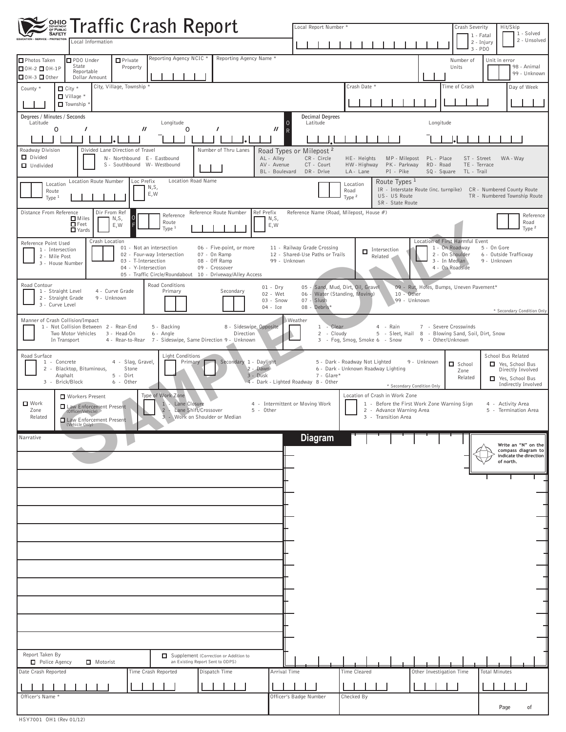| <b>OHIO Traffic Crash Report</b>                                                                                                                                                                                                                                                                                                                                       | Local Report Number *<br>Crash Severity<br>Hit/Skip<br>1 - Solved                                                                                                                                                                                                                                             |
|------------------------------------------------------------------------------------------------------------------------------------------------------------------------------------------------------------------------------------------------------------------------------------------------------------------------------------------------------------------------|---------------------------------------------------------------------------------------------------------------------------------------------------------------------------------------------------------------------------------------------------------------------------------------------------------------|
| EDUCATION · SERVICE · PROTECTION<br>Local Information                                                                                                                                                                                                                                                                                                                  | 1 - Fatal<br>2 - Unsolved<br>2 - Injury<br>$3 - PDO$                                                                                                                                                                                                                                                          |
| Reporting Agency NCIC *<br>Reporting Agency Name *<br>$\blacksquare$ Private<br>Photos Taken<br>PDO Under<br>State<br>Property<br>$\Box$ OH-2 $\Box$ OH-1P<br>Reportable<br>$\Box$ OH-3 $\Box$ Other<br>Dollar Amount                                                                                                                                                  | Number of<br>Unit in error<br>98 - Animal<br>Units<br>99 - Unknown                                                                                                                                                                                                                                            |
| City, Village, Township *<br>$\Box$ City $*$<br>County *<br>$\Box$ Village *<br>Township                                                                                                                                                                                                                                                                               | Crash Date *<br>Time of Crash<br>Day of Week                                                                                                                                                                                                                                                                  |
| Degrees / Minutes / Seconds<br>Latitude<br>Longitude<br>0                                                                                                                                                                                                                                                                                                              | <b>Decimal Degrees</b><br>Latitude<br>Longitude                                                                                                                                                                                                                                                               |
| $\prime$<br>$^{\prime\prime}$<br>0<br>0<br>$\prime$<br>7<br>$\overline{R}$                                                                                                                                                                                                                                                                                             |                                                                                                                                                                                                                                                                                                               |
| Number of Thru Lanes<br>Roadway Division<br>Divided Lane Direction of Travel<br>D Divided<br>N- Northbound E- Eastbound<br>AL - Alley<br>S - Southbound W- Westbound<br>AV - Avenue<br>$\Box$ Undivided<br>BL - Boulevard                                                                                                                                              | Road Types or Milepost <sup>2</sup><br>CR-Circle<br>HE- Heights<br>MP - Milepost<br>PL - Place<br>ST - Street<br>WA - Way<br>CT - Court<br>PK - Parkway<br>HW - Highway<br>RD - Road<br>TE - Terrace<br>DR - Drive<br>LA-Lane<br>PI - Pike<br>TL - Trail<br>SQ - Square                                       |
| Location Route Number<br>Loc Prefix<br>Location Road Name<br>Location<br>N,S,<br>Route<br>E, W<br>Type 1                                                                                                                                                                                                                                                               | Route Types <sup>1</sup><br>Location<br>IR - Interstate Route (inc. turnpike) CR - Numbered County Route<br>Road<br>US- US Route<br>TR - Numbered Township Route<br>Type <sup>2</sup><br>SR - State Route                                                                                                     |
| Distance From Reference<br>Ref Prefix<br>Dir From Ref<br>Reference Route Number<br>Reference<br>$\Box$ Miles<br>N, S,<br>N,S,<br>Route<br>$\blacksquare$ Feet<br>E,W<br>E, W<br><b>N</b> Yards<br>Type $1$                                                                                                                                                             | Reference Name (Road, Milepost, House #)<br>Reference<br>Road<br>Type <sup>2</sup>                                                                                                                                                                                                                            |
| Crash Location<br>Reference Point Used<br>01 - Not an intersection<br>06 - Five-point, or more<br>1 - Intersection<br>02 - Four-way Intersection<br>07 - On Ramp<br>2 - Mile Post<br>08 - Off Ramp<br>99 - Unknown<br>03 - T-Intersection<br>3 - House Number<br>04 - Y-Intersection<br>09 - Crossover<br>05 - Traffic Circle/Roundabout<br>10 - Driveway/Alley Access | Location of First Harmful Event<br>1 - On Roadway<br>5 - On Gore<br>11 - Railway Grade Crossing<br>Intersection<br>12 - Shared-Use Paths or Trails<br>2 - On Shoulder<br>6 - Outside Trafficway<br>Related<br>3 - In Median<br>9 - Unknown<br>4 - On Roadside                                                 |
| Road Contour<br>Road Conditions<br>$01 - Dry$<br>1 - Straight Level<br>4 - Curve Grade<br>Primary<br>Secondary<br>02 - Wet<br>2 - Straight Grade<br>9 - Unknown<br>03 - Snow<br>3 - Curve Level<br>$04 - Ice$                                                                                                                                                          | 05 - Sand, Mud, Dirt, Oil, Gravel<br>09 - Rut, Holes, Bumps, Uneven Pavement*<br>06 - Water (Standing, Moving)<br>$10 - 0$ ther<br>07 - Slush<br>99 - Unknown<br>08 - Debris*<br>* Secondary Condition Only                                                                                                   |
| Manner of Crash Collision/Impact<br>1 - Not Collision Between 2 - Rear-End<br>5 - Backing<br>8 - Sideswipe, Opposite<br>Two Motor Vehicles<br>3 - Head-On<br>6 - Angle<br>Direction<br>4 - Rear-to-Rear 7 - Sideswipe, Same Direction 9 - Unknown<br>In Transport                                                                                                      | <b>Weather</b><br>Clear<br>$1 -$<br>4 - Rain<br>7 - Severe Crosswinds<br>2 - Cloudy<br>5 - Sleet, Hail<br>8 - Blowing Sand, Soil, Dirt, Snow<br>3 - Fog, Smog, Smoke 6 - Snow<br>9 - Other/Unknown                                                                                                            |
| Road Surface<br>Light Conditions<br>4 - Slag, Gravel,<br>Secondary 1 - Daylight<br>1 - Concrete<br>Primary<br>2 - Dawn<br>2 - Blacktop, Bituminous,<br>Stone<br>3 - Dusk<br>Asphalt<br>$5 -$ Dirt<br>3 - Brick/Block<br>6 - Other                                                                                                                                      | School Bus Related<br>5 - Dark - Roadway Not Lighted<br>9 - Unknown<br>School<br>Yes, School Bus<br>6 - Dark - Unknown Roadway Lighting<br>Directly Involved<br>Zone<br>7 - Glare*<br>Related<br>Yes, School Bus<br>4 - Dark - Lighted Roadway 8 - Other<br>Indirectly Involved<br>* Secondary Condition Only |
| Type of Work Zone<br>Workers Present<br>$\blacksquare$ Work<br>Lane Closure<br>1<br>Law Enforcement Present<br>$\overline{2}$<br>Lane Shift/Crossover<br>Zone<br>5 - Other<br>(Officer/Vehicle)<br>3 - Work on Shoulder or Median<br>Related<br>Law Enforcement Present<br>(Vehicle Only)                                                                              | Location of Crash in Work Zone<br>4 - Intermittent or Moving Work<br>1 - Before the First Work Zone Warning Sign<br>4 - Activity Area<br>2 - Advance Warning Area<br>5 - Termination Area<br>3 - Transition Area                                                                                              |
| Narrative                                                                                                                                                                                                                                                                                                                                                              | <b>Diagram</b><br>Write an "N" on the<br>compass diagram to<br>indicate the direction<br>of north.                                                                                                                                                                                                            |
|                                                                                                                                                                                                                                                                                                                                                                        |                                                                                                                                                                                                                                                                                                               |
|                                                                                                                                                                                                                                                                                                                                                                        |                                                                                                                                                                                                                                                                                                               |
|                                                                                                                                                                                                                                                                                                                                                                        |                                                                                                                                                                                                                                                                                                               |
|                                                                                                                                                                                                                                                                                                                                                                        |                                                                                                                                                                                                                                                                                                               |
|                                                                                                                                                                                                                                                                                                                                                                        |                                                                                                                                                                                                                                                                                                               |
|                                                                                                                                                                                                                                                                                                                                                                        |                                                                                                                                                                                                                                                                                                               |
|                                                                                                                                                                                                                                                                                                                                                                        |                                                                                                                                                                                                                                                                                                               |
|                                                                                                                                                                                                                                                                                                                                                                        |                                                                                                                                                                                                                                                                                                               |
| Report Taken By<br>Supplement (Correction or Addition to<br>an Existing Report Sent to ODPS)<br>Police Agency<br>Motorist                                                                                                                                                                                                                                              |                                                                                                                                                                                                                                                                                                               |
| Date Crash Reported<br>Dispatch Time<br>Arrival Time<br>Time Crash Reported                                                                                                                                                                                                                                                                                            | Time Cleared<br>Other Investigation Time<br><b>Total Minutes</b>                                                                                                                                                                                                                                              |
| Officer's Name *                                                                                                                                                                                                                                                                                                                                                       | Officer's Badge Number<br>Checked By<br>Page<br>оf                                                                                                                                                                                                                                                            |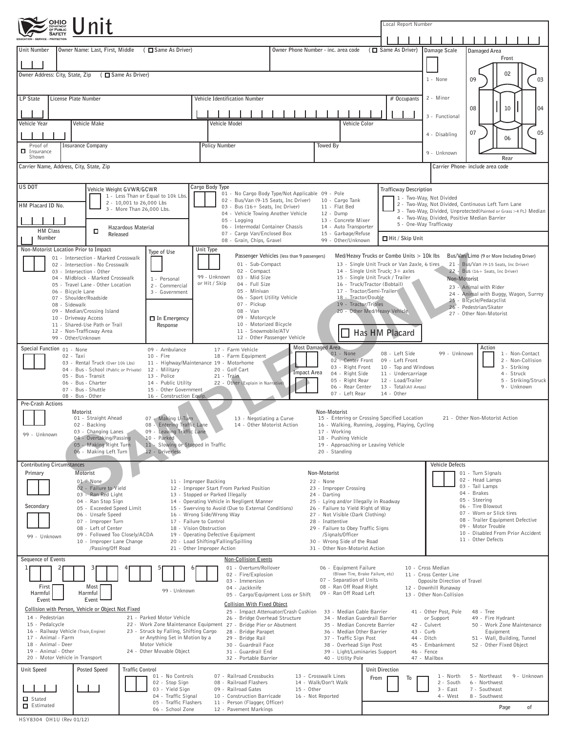| OHIO Unit                                                                                                                                                                                                                                               |                                                                                                                                                                       | Local Report Number                                                                                   |                                                                                                                  |                                              |                                                                                                                     |  |  |  |  |
|---------------------------------------------------------------------------------------------------------------------------------------------------------------------------------------------------------------------------------------------------------|-----------------------------------------------------------------------------------------------------------------------------------------------------------------------|-------------------------------------------------------------------------------------------------------|------------------------------------------------------------------------------------------------------------------|----------------------------------------------|---------------------------------------------------------------------------------------------------------------------|--|--|--|--|
|                                                                                                                                                                                                                                                         |                                                                                                                                                                       |                                                                                                       |                                                                                                                  |                                              |                                                                                                                     |  |  |  |  |
| (□ Same As Driver)<br>Owner Name: Last, First, Middle<br>Unit Number                                                                                                                                                                                    |                                                                                                                                                                       | Owner Phone Number - inc. area code                                                                   |                                                                                                                  | ( $\Box$ Same As Driver)                     | Damage Scale<br>Damaged Area<br>Front                                                                               |  |  |  |  |
|                                                                                                                                                                                                                                                         |                                                                                                                                                                       |                                                                                                       |                                                                                                                  |                                              |                                                                                                                     |  |  |  |  |
| Owner Address: City, State, Zip<br>(□ Same As Driver)                                                                                                                                                                                                   |                                                                                                                                                                       |                                                                                                       | 02<br>1 - None<br>03<br>09                                                                                       |                                              |                                                                                                                     |  |  |  |  |
|                                                                                                                                                                                                                                                         |                                                                                                                                                                       |                                                                                                       |                                                                                                                  |                                              |                                                                                                                     |  |  |  |  |
| <b>LP State</b><br>License Plate Number                                                                                                                                                                                                                 | Vehicle Identification Number                                                                                                                                         |                                                                                                       |                                                                                                                  | # Occupants                                  | 2 - Minor                                                                                                           |  |  |  |  |
|                                                                                                                                                                                                                                                         |                                                                                                                                                                       |                                                                                                       |                                                                                                                  |                                              | 08<br>10<br>04<br>3 - Functional                                                                                    |  |  |  |  |
| Vehicle Make<br>Vehicle Year                                                                                                                                                                                                                            | Vehicle Model                                                                                                                                                         |                                                                                                       | Vehicle Color                                                                                                    |                                              |                                                                                                                     |  |  |  |  |
|                                                                                                                                                                                                                                                         |                                                                                                                                                                       |                                                                                                       |                                                                                                                  |                                              | 07<br>05<br>4 - Disabling<br>06                                                                                     |  |  |  |  |
| <b>Insurance Company</b><br>Proof of<br>$\Box$ Insurance<br>Shown                                                                                                                                                                                       | <b>Policy Number</b>                                                                                                                                                  | Towed By                                                                                              |                                                                                                                  |                                              | 9 - Unknown                                                                                                         |  |  |  |  |
| Carrier Name, Address, City, State, Zip                                                                                                                                                                                                                 |                                                                                                                                                                       |                                                                                                       |                                                                                                                  |                                              | Rear<br>Carrier Phone- include area code                                                                            |  |  |  |  |
|                                                                                                                                                                                                                                                         |                                                                                                                                                                       |                                                                                                       |                                                                                                                  |                                              |                                                                                                                     |  |  |  |  |
| US DOT<br>Vehicle Weight GVWR/GCWR                                                                                                                                                                                                                      | Cargo Body Type                                                                                                                                                       | 01 - No Cargo Body Type/Not Applicable 09 - Pole                                                      |                                                                                                                  | <b>Trafficway Description</b>                |                                                                                                                     |  |  |  |  |
| 1 - Less Than or Equal to 10k Lbs.<br>2 - 10,001 to 26,000 Lbs<br>HM Placard ID No.                                                                                                                                                                     | 02 - Bus/Van (9-15 Seats, Inc Driver)                                                                                                                                 |                                                                                                       | 10 - Cargo Tank                                                                                                  |                                              | 1 - Two-Way, Not Divided<br>2 - Two-Way, Not Divided, Continuous Left Turn Lane                                     |  |  |  |  |
| 3 - More Than 26,000 Lbs.                                                                                                                                                                                                                               |                                                                                                                                                                       | 03 - Bus (16+ Seats, Inc Driver)<br>11 - Flat Bed<br>04 - Vehicle Towing Another Vehicle<br>12 - Dump |                                                                                                                  |                                              | 3 - Two-Way, Divided, Unprotected (Painted or Grass >4 Ft.) Median<br>4 - Two-Way, Divided, Positive Median Barrier |  |  |  |  |
| Hazardous Material<br><b>HM Class</b>                                                                                                                                                                                                                   |                                                                                                                                                                       | 13 - Concrete Mixer<br>05 - Logging<br>06 - Intermodal Container Chassis<br>14 - Auto Transporter     |                                                                                                                  |                                              | 5 - One-Way Trafficway                                                                                              |  |  |  |  |
| о<br>Released<br>Number                                                                                                                                                                                                                                 |                                                                                                                                                                       | 07 - Cargo Van/Enclosed Box<br>15 - Garbage/Refuse<br>08 - Grain, Chips, Gravel<br>99 - Other/Unknown |                                                                                                                  |                                              | Hit / Skip Unit                                                                                                     |  |  |  |  |
| Non-Motorist Location Prior to Impact<br>Type of Use                                                                                                                                                                                                    | Unit Type                                                                                                                                                             | Passenger Vehicles (less than 9 passengers)                                                           | Med/Heavy Trucks or Combo Units $> 10k$ lbs                                                                      |                                              | Bus/Van/Limo (9 or More Including Driver)                                                                           |  |  |  |  |
| 01 - Intersection - Marked Crosswalk<br>02 - Intersection - No Crosswalk                                                                                                                                                                                | 01 - Sub-Compact                                                                                                                                                      |                                                                                                       |                                                                                                                  | 13 - Single Unit Truck or Van 2axle, 6 tires | 21 - Bus/Van (9-15 Seats, Inc Driver)                                                                               |  |  |  |  |
| 03 - Intersection - Other<br>04 - Midblock - Marked Crosswalk<br>1 - Personal                                                                                                                                                                           | 02 - Compact<br>99 - Unknown<br>03 - Mid Size                                                                                                                         |                                                                                                       | 14 - Single Unit Truck; 3+ axles<br>15 - Single Unit Truck / Trailer                                             |                                              | 22 - Bus (16+ Seats, Inc Driver)<br>Non-Motorist                                                                    |  |  |  |  |
| 05 - Travel Lane - Other Location<br>2 - Commercial<br>06 - Bicycle Lane<br>3 - Government                                                                                                                                                              | or Hit / Skip<br>04 - Full Size<br>05 - Minivan                                                                                                                       |                                                                                                       | 16 - Truck/Tractor (Bobtail)<br>17 - Tractor/Semi-Trailer                                                        |                                              | 23 - Animal with Rider                                                                                              |  |  |  |  |
| 07 - Shoulder/Roadside<br>08 - Sidewalk                                                                                                                                                                                                                 | 06 - Sport Utility Vehicle<br>07 - Pickup                                                                                                                             |                                                                                                       | 18 - Tractor/Double<br>19 - Tractor/Triples                                                                      |                                              | 24 - Animal with Buggy, Wagon, Surrey<br>25 - Bicycle/Pedacyclist                                                   |  |  |  |  |
| 09 - Median/Crossing Island<br>10 - Driveway Access                                                                                                                                                                                                     | 08 - Van<br>09 - Motorcycle                                                                                                                                           | 20 - Other Med/Heavy Vehicle                                                                          |                                                                                                                  |                                              | 26 - Pedestrian/Skater<br>27 - Other Non-Motorist                                                                   |  |  |  |  |
| $\Box$ In Emergency<br>11 - Shared-Use Path or Trail<br>Response                                                                                                                                                                                        |                                                                                                                                                                       | 10 - Motorized Bicycle<br>11 - Snowmobile/ATV                                                         |                                                                                                                  |                                              |                                                                                                                     |  |  |  |  |
| 12 - Non-Trafficway Area<br>99 - Other/Unknown                                                                                                                                                                                                          |                                                                                                                                                                       | 12 - Other Passenger Vehicle                                                                          |                                                                                                                  | Has HM Placard                               |                                                                                                                     |  |  |  |  |
| Special Function 01 - None<br>09 - Ambulance                                                                                                                                                                                                            | 17 - Farm Vehicle                                                                                                                                                     | <b>Most Damaged Area</b>                                                                              | 01 - None                                                                                                        | 08 - Left Side                               | Action<br>99 - Unknown<br>1 - Non-Contact                                                                           |  |  |  |  |
| 02 - Taxi<br>$10 - Fire$<br>18 - Farm Equipment<br>02 - Center Front<br>09 - Left Front<br>2 - Non-Collision<br>03 - Rental Truck (Over 10k Lbs)<br>11 - Highway/Maintenance 19 - Motorhome<br>3 - Striking<br>03 - Right Front<br>10 - Top and Windows |                                                                                                                                                                       |                                                                                                       |                                                                                                                  |                                              |                                                                                                                     |  |  |  |  |
| 04 - Bus - School (Public or Private)<br>20 - Golf Cart<br>12 - Military<br><b>Impact Area</b><br>04 - Right Side<br>11 - Undercarriage<br>4 - Struck<br>05 - Bus - Transit<br>21 - Train<br>13 - Police                                                |                                                                                                                                                                       |                                                                                                       |                                                                                                                  |                                              |                                                                                                                     |  |  |  |  |
| 06 - Bus - Charter<br>14 - Public Utility<br>07 - Bus - Shuttle<br>15 - Other Government                                                                                                                                                                | 22 - Other (Explain in Narrative)                                                                                                                                     |                                                                                                       | 05 - Right Rear<br>06 - Rear Center                                                                              | 12 - Load/Trailer<br>13 - Total(All Areas)   | 5 - Striking/Struck<br>9 - Unknown                                                                                  |  |  |  |  |
| 07 - Left Rear<br>$14 - 0$ ther<br>08 - Bus - Other<br>16 - Construction Equip.<br>Pre-Crash Actions                                                                                                                                                    |                                                                                                                                                                       |                                                                                                       |                                                                                                                  |                                              |                                                                                                                     |  |  |  |  |
| Motorist                                                                                                                                                                                                                                                | Non-Motorist<br>07 Making U-Turn<br>13 - Negotiating a Curve<br>15 - Entering or Crossing Specified Location<br>01 - Straight Ahead<br>21 - Other Non-Motorist Action |                                                                                                       |                                                                                                                  |                                              |                                                                                                                     |  |  |  |  |
| 02 - Backing<br>08 - Entering Traffic Lane<br>16 - Walking, Running, Jogging, Playing, Cycling<br>14 - Other Motorist Action<br>09 - Leaving Traffic Lane<br>17 - Working                                                                               |                                                                                                                                                                       |                                                                                                       |                                                                                                                  |                                              |                                                                                                                     |  |  |  |  |
| 03 - Changing Lanes<br>99 - Unknown<br>04 - Overtaking/Passing<br>10 - Parked                                                                                                                                                                           |                                                                                                                                                                       |                                                                                                       | 18 - Pushing Vehicle<br>19 - Approaching or Leaving Vehicle                                                      |                                              |                                                                                                                     |  |  |  |  |
| 11 - Slowing or Stopped in Traffic<br>05 - Making Right Turn<br>06 - Making Left Turn<br>12 - Driverless                                                                                                                                                |                                                                                                                                                                       |                                                                                                       | 20 - Standing                                                                                                    |                                              |                                                                                                                     |  |  |  |  |
| <b>Contributing Circumstances</b>                                                                                                                                                                                                                       |                                                                                                                                                                       |                                                                                                       |                                                                                                                  |                                              | <b>Vehicle Defects</b>                                                                                              |  |  |  |  |
| Motorist<br>Primary                                                                                                                                                                                                                                     |                                                                                                                                                                       | Non-Motorist                                                                                          |                                                                                                                  |                                              | 01 - Turn Signals<br>02 - Head Lamps                                                                                |  |  |  |  |
| 01 - None<br>02 - Failure to Yield                                                                                                                                                                                                                      | 11 - Improper Backing<br>12 - Improper Start From Parked Position                                                                                                     | 22 - None<br>03 - Tail Lamps<br>23 - Improper Crossing<br>04 - Brakes                                 |                                                                                                                  |                                              |                                                                                                                     |  |  |  |  |
| 03 - Ran Red Light<br>04 - Ran Stop Sign                                                                                                                                                                                                                | 13 - Stopped or Parked Illegally<br>14 - Operating Vehicle in Negligent Manner                                                                                        | 24 - Darting<br>05 - Steering<br>25 - Lying and/or Illegally in Roadway                               |                                                                                                                  |                                              |                                                                                                                     |  |  |  |  |
| Secondary<br>05 - Exceeded Speed Limit<br>06 - Unsafe Speed                                                                                                                                                                                             | 15 - Swerving to Avoid (Due to External Conditions)<br>16 - Wrong Side/Wrong Way                                                                                      |                                                                                                       | 26 - Failure to Yield Right of Way<br>27 - Not Visible (Dark Clothing)                                           |                                              | 06 - Tire Blowout<br>07 - Worn or Slick tires                                                                       |  |  |  |  |
| 07 - Improper Turn<br>08 - Left of Center                                                                                                                                                                                                               | 17 - Failure to Control<br>18 - Vision Obstruction                                                                                                                    |                                                                                                       | 08 - Trailer Equipment Defective<br>28 - Inattentive<br>09 - Motor Trouble<br>29 - Failure to Obey Traffic Signs |                                              |                                                                                                                     |  |  |  |  |
| 09 - Followed Too Closely/ACDA<br>99 - Unknown<br>10 - Improper Lane Change                                                                                                                                                                             | 19 - Operating Defective Equipment<br>20 - Load Shifting/Falling/Spilling                                                                                             |                                                                                                       | /Signals/Officer<br>30 - Wrong Side of the Road                                                                  |                                              | 10 - Disabled From Prior Accident<br>11 - Other Defects                                                             |  |  |  |  |
| /Passing/Off Road                                                                                                                                                                                                                                       | 21 - Other Improper Action                                                                                                                                            |                                                                                                       | 31 - Other Non-Motorist Action                                                                                   |                                              |                                                                                                                     |  |  |  |  |
| Sequence of Events                                                                                                                                                                                                                                      | Non-Collision Events<br>01 - Overturn/Rollover                                                                                                                        |                                                                                                       |                                                                                                                  |                                              | 10 - Cross Median                                                                                                   |  |  |  |  |
|                                                                                                                                                                                                                                                         | 02 - Fire/Explosion                                                                                                                                                   |                                                                                                       | 06 - Equipment Failure<br>(Blown Tire, Brake Failure, etc)<br>07 - Separation of Units                           |                                              | 11 - Cross Center Line                                                                                              |  |  |  |  |
| First<br>Most<br>99 - Unknown                                                                                                                                                                                                                           | 03 - Immersion<br>04 - Jackknife                                                                                                                                      |                                                                                                       | 08 - Ran Off Road Right                                                                                          |                                              | Opposite Direction of Travel<br>12 - Downhill Runaway                                                               |  |  |  |  |
| Harmful<br>Harmful<br>Event<br>Event                                                                                                                                                                                                                    | <b>Collision With Fixed Object</b>                                                                                                                                    | 05 - Cargo/Equipment Loss or Shift                                                                    | 09 - Ran Off Road Left                                                                                           |                                              | 13 - Other Non-Collision                                                                                            |  |  |  |  |
| Collision with Person, Vehicle or Object Not Fixed                                                                                                                                                                                                      |                                                                                                                                                                       | 25 - Impact Attenuator/Crash Cushion                                                                  | 33 - Median Cable Barrier                                                                                        |                                              | 41 - Other Post, Pole<br>48 - Tree                                                                                  |  |  |  |  |
| 14 - Pedestrian<br>21 - Parked Motor Vehicle<br>15 - Pedalcycle                                                                                                                                                                                         | 26 - Bridge Overhead Structure<br>22 - Work Zone Maintenance Equipment 27 - Bridge Pier or Abutment<br>28 - Bridge Parapet                                            |                                                                                                       | 34 - Median Guardrail Barrier<br>35 - Median Concrete Barrier                                                    |                                              | or Support<br>49 - Fire Hydrant<br>42 - Culvert<br>50 - Work Zone Maintenance                                       |  |  |  |  |
| 16 - Railway Vehicle (Train, Engine)<br>23 - Struck by Falling, Shifting Cargo<br>17 - Animal - Farm<br>or Anything Set in Motion by a                                                                                                                  | 36 - Median Other Barrier<br>37 - Traffic Sign Post                                                                                                                   | 43 - Curb<br>44 - Ditch                                                                               | Equipment<br>51 - Wall, Building, Tunnel                                                                         |                                              |                                                                                                                     |  |  |  |  |
| 18 - Animal - Deer<br>Motor Vehicle<br>19 - Animal - Other<br>24 - Other Movable Object                                                                                                                                                                 | 30 - Guardrail Face<br>31 - Guardrail End                                                                                                                             |                                                                                                       | 38 - Overhead Sign Post<br>39 - Light/Luminaries Support                                                         |                                              | 45 - Embankment<br>52 - Other Fixed Object<br>46 - Fence                                                            |  |  |  |  |
| 20 - Motor Vehicle in Transport                                                                                                                                                                                                                         | 32 - Portable Barrier                                                                                                                                                 |                                                                                                       | 40 - Utility Pole                                                                                                |                                              | 47 - Mailbox                                                                                                        |  |  |  |  |
| Unit Speed<br>Posted Speed<br><b>Traffic Control</b><br>01 - No Controls                                                                                                                                                                                | 07 - Railroad Crossbucks                                                                                                                                              | 13 - Crosswalk Lines                                                                                  | From                                                                                                             | <b>Unit Direction</b><br>То                  | 5 - Northeast<br>9 - Unknown<br>1 - North                                                                           |  |  |  |  |
| 02 - Stop Sign<br>03 - Yield Sign                                                                                                                                                                                                                       | 08 - Railroad Flashers<br>09 - Railroad Gates                                                                                                                         | 14 - Walk/Don't Walk<br>$15 - 0$ ther                                                                 |                                                                                                                  |                                              | 2 - South<br>6 - Northwest<br>3 - East<br>7 - Southeast                                                             |  |  |  |  |
| 04 - Traffic Signal<br>Stated<br>05 - Traffic Flashers                                                                                                                                                                                                  | 10 - Construction Barricade<br>11 - Person (Flagger, Officer)                                                                                                         | 16 - Not Reported                                                                                     |                                                                                                                  |                                              | 4 - West<br>8 - Southwest                                                                                           |  |  |  |  |
| Estimated<br>06 - School Zone                                                                                                                                                                                                                           | 12 - Pavement Markings                                                                                                                                                |                                                                                                       |                                                                                                                  |                                              | Page<br>оf                                                                                                          |  |  |  |  |

HSY8304 OH1U (Rev 01/12)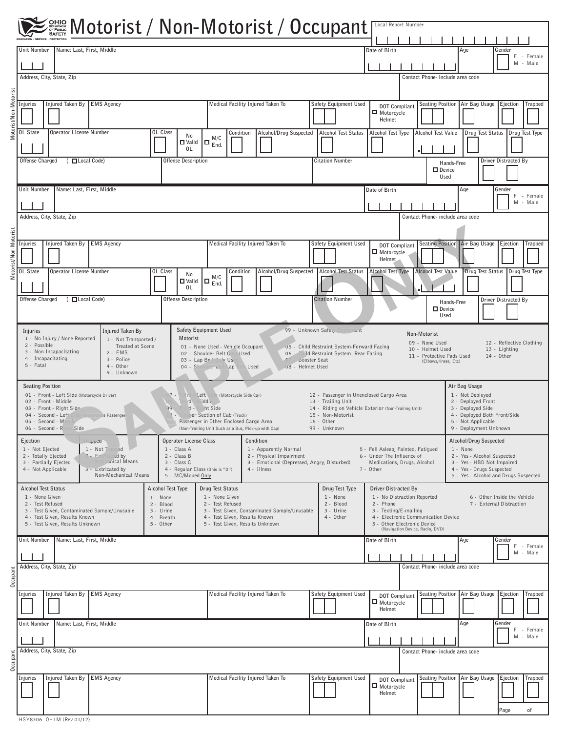|                       |                                                                                                                                                                                                                                                |                                                                                                                                                                                                                   |                                                                                                                                                                                                                                                                                                                                                                            | Local Report Number                                                                                                                                                                                                                                            |                                                                                                                                                                       |  |  |  |  |
|-----------------------|------------------------------------------------------------------------------------------------------------------------------------------------------------------------------------------------------------------------------------------------|-------------------------------------------------------------------------------------------------------------------------------------------------------------------------------------------------------------------|----------------------------------------------------------------------------------------------------------------------------------------------------------------------------------------------------------------------------------------------------------------------------------------------------------------------------------------------------------------------------|----------------------------------------------------------------------------------------------------------------------------------------------------------------------------------------------------------------------------------------------------------------|-----------------------------------------------------------------------------------------------------------------------------------------------------------------------|--|--|--|--|
|                       | Unit Number<br>Name: Last, First, Middle                                                                                                                                                                                                       |                                                                                                                                                                                                                   |                                                                                                                                                                                                                                                                                                                                                                            | Date of Birth                                                                                                                                                                                                                                                  | Age<br>Gender                                                                                                                                                         |  |  |  |  |
|                       |                                                                                                                                                                                                                                                |                                                                                                                                                                                                                   |                                                                                                                                                                                                                                                                                                                                                                            |                                                                                                                                                                                                                                                                | F.<br>- Female<br>M - Male                                                                                                                                            |  |  |  |  |
|                       | Address, City, State, Zip                                                                                                                                                                                                                      |                                                                                                                                                                                                                   |                                                                                                                                                                                                                                                                                                                                                                            | Contact Phone- include area code                                                                                                                                                                                                                               |                                                                                                                                                                       |  |  |  |  |
| Motorist/Non-Motorist | Injured Taken By EMS Agency<br>Injuries                                                                                                                                                                                                        |                                                                                                                                                                                                                   | Medical Facility Injured Taken To<br>Safety Equipment Used                                                                                                                                                                                                                                                                                                                 | Seating Position Air Bag Usage<br>Ejection<br><b>Trapped</b><br><b>DOT Compliant</b><br>Motorcycle<br>Helmet                                                                                                                                                   |                                                                                                                                                                       |  |  |  |  |
|                       | <b>OL State</b><br><b>Operator License Number</b>                                                                                                                                                                                              | OL Class<br>Condition<br>No<br>M/C<br>$\Box$ $_{End.}^{\cdots}$<br>$\square$ Valid<br>0L                                                                                                                          | Alcohol/Drug Suspected<br><b>Alcohol Test Status</b>                                                                                                                                                                                                                                                                                                                       | Alcohol Test Type<br><b>Alcohol Test Value</b>                                                                                                                                                                                                                 | Drug Test Status   Drug Test Type                                                                                                                                     |  |  |  |  |
|                       | ( □ Local Code)<br>Offense Charged                                                                                                                                                                                                             | Offense Description                                                                                                                                                                                               | <b>Citation Number</b>                                                                                                                                                                                                                                                                                                                                                     | D Device                                                                                                                                                                                                                                                       | Driver Distracted By<br>Hands-Free<br>Used                                                                                                                            |  |  |  |  |
|                       | Name: Last, First, Middle<br>Unit Number                                                                                                                                                                                                       |                                                                                                                                                                                                                   |                                                                                                                                                                                                                                                                                                                                                                            | Date of Birth<br>Age<br>Gender<br>F.<br>- Female<br>M - Male                                                                                                                                                                                                   |                                                                                                                                                                       |  |  |  |  |
|                       | Address, City, State, Zip                                                                                                                                                                                                                      |                                                                                                                                                                                                                   |                                                                                                                                                                                                                                                                                                                                                                            | Contact Phone- include area code                                                                                                                                                                                                                               |                                                                                                                                                                       |  |  |  |  |
| Motorist/Non-Motorist | Injured Taken By<br><b>EMS Agency</b><br>Injuries                                                                                                                                                                                              |                                                                                                                                                                                                                   | Medical Facility Injured Taken To<br>Safety Equipment Used                                                                                                                                                                                                                                                                                                                 | <b>DOT Compliant</b><br>Motorcycle<br>Helmet                                                                                                                                                                                                                   | Seating Position   Air Bag Usage<br>Ejection<br>Trapped                                                                                                               |  |  |  |  |
|                       | OL State<br>Operator License Number                                                                                                                                                                                                            | OL Class<br>Condition<br>No<br>M/C<br>$(\Box\ \mathop{\mathrm{End}}\limits_{\mathrm{End}_\gamma}$<br><b>□</b> Valid<br>0L                                                                                         | Alcohol/Drug Suspected<br><b>Alcohol Test Status</b>                                                                                                                                                                                                                                                                                                                       | <b>Alcohol Test Type</b><br>Alcohol Test Value                                                                                                                                                                                                                 | Drug Test Status   Drug Test Type                                                                                                                                     |  |  |  |  |
|                       | ( □ Local Code)<br>Offense Charged                                                                                                                                                                                                             | <b>Offense Description</b>                                                                                                                                                                                        | <b>Citation Number</b>                                                                                                                                                                                                                                                                                                                                                     | $\Box$ Device                                                                                                                                                                                                                                                  | Driver Distracted By<br>Hands-Free<br>Used                                                                                                                            |  |  |  |  |
|                       | Injured Taken By<br>Injuries<br>1 - No Injury / None Reported<br>1 - Not Transported /<br>2 - Possible<br>Treated at Scene<br>3 - Non-Incapacitating<br>$2 - EMS$<br>4 - Incapacitating<br>3 - Police<br>5 - Fatal<br>4 - Other<br>9 - Unknown | Safety Equipment Used<br>Motorist<br>02 - Shoulder Belt Only Used<br>03 - Lap Belt Only Use<br>04 - Shoulder and Lap Bell Used                                                                                    | 99 - Unknown Safer,<br>quipment<br>Non-Motorist<br>09 - None Used<br>12 - Reflective Clothing<br>01 - None Used - Vehicle Occupant<br>05 - Child Restraint System-Forward Facing<br>13 - Lighting<br>10 - Helmet Used<br>06 - Child Restraint System- Rear Facing<br>$14 - Other$<br>11 - Protective Pads Used<br>Booster Seat<br>(Elbows, Knees, Etc)<br>08 - Helmet Used |                                                                                                                                                                                                                                                                |                                                                                                                                                                       |  |  |  |  |
|                       | <b>Seating Position</b><br>01 - Front - Left Side (Motorcycle Driver)<br>02 - Front - Middle<br>03 - Front - Right Side<br>04 - Second - Left<br>le Passenger<br>05 - Second - Mill<br>06 - Second - Right Side                                | ird - Left Side (Motorcycle Side Car)<br>rd Middle<br>Third - Richt Side<br>79<br>Sleeper Section of Cab (Truck)<br>Passenger in Other Enclosed Cargo Area<br>(Non-Trailing Unit Such as a Bus, Pick-up with Cap) | 13 - Trailing Unit<br>15 - Non-Motorist<br>16 - Other<br>99 - Unknown                                                                                                                                                                                                                                                                                                      | 12 - Passenger in Unenclosed Cargo Area<br>14 - Riding on Vehicle Exterior (Non-Trailing Unit)                                                                                                                                                                 | Air Bag Usage<br>1 - Not Deployed<br>2 - Deployed Front<br>3 - Deployed Side<br>4 - Deployed Both Front/Side<br>5 - Not Applicable<br>9 - Deployment Unknown          |  |  |  |  |
|                       | Ejection<br>mpea<br>1 - Not Ejected<br>1 - Not Trapped<br>2 - Totally Ejected<br>2 - Extric<br>ated by<br><b>Lanical Means</b><br>3 - Partially Ejected<br>4 - Not Applicable<br>3 - Extricated by<br>Non-Mechanical Means                     | <b>Operator License Class</b><br>1 - Class A<br>2 - Class B<br>3 - Class C<br>4 - Regular Class (Ohio is "D")<br>5 - MC/Moped Only                                                                                | Condition<br>1 - Apparently Normal<br>2 - Physical Impairment<br>3 - Emotional (Depressed, Angry, Disturbed)<br>4 - Illness                                                                                                                                                                                                                                                | 5 - Fell Asleep, Fainted, Fatigued<br>6 - Under The Influence of<br>Medications, Drugs, Alcohol<br>7 - Other                                                                                                                                                   | Alcohol/Drug Suspected<br>1 - None<br>2 - Yes - Alcohol Suspected<br>3 - Yes - HBD Not Impaired<br>4 - Yes - Drugs Suspected<br>5 - Yes - Alcohol and Drugs Suspected |  |  |  |  |
|                       | <b>Alcohol Test Status</b><br>1 - None Given<br>2 - Test Refused<br>3 - Test Given, Contaminated Sample/Unusable<br>4 - Test Given, Results Known<br>5 - Test Given, Results Unknown                                                           | Alcohol Test Type<br>Drug Test Status<br>1 - None Given<br>1 - None<br>2 - Test Refused<br>2 - Blood<br>3 - Urine<br>4 - Test Given, Results Known<br>4 - Breath<br>5 - Other                                     | Drug Test Type<br>1 - None<br>2 - Blood<br>3 - Test Given, Contaminated Sample/Unusable<br>3 - Urine<br>4 - Other<br>5 - Test Given, Results Unknown                                                                                                                                                                                                                       | Driver Distracted By<br>1 - No Distraction Reported<br>6 - Other Inside the Vehicle<br>2 - Phone<br>7 - External Distraction<br>3 - Texting/E-mailing<br>4 - Electronic Communication Device<br>5 - Other Electronic Device<br>(Navigation Device, Radio, DVD) |                                                                                                                                                                       |  |  |  |  |
|                       | Name: Last, First, Middle<br>Unit Number                                                                                                                                                                                                       |                                                                                                                                                                                                                   |                                                                                                                                                                                                                                                                                                                                                                            | Date of Birth                                                                                                                                                                                                                                                  | Age<br>Gender<br>F - Female<br>M - Male                                                                                                                               |  |  |  |  |
| Occupant              | Address, City, State, Zip                                                                                                                                                                                                                      |                                                                                                                                                                                                                   |                                                                                                                                                                                                                                                                                                                                                                            | Contact Phone- include area code                                                                                                                                                                                                                               |                                                                                                                                                                       |  |  |  |  |
|                       | Injured Taken By EMS Agency<br>Injuries                                                                                                                                                                                                        |                                                                                                                                                                                                                   | Medical Facility Injured Taken To<br>Safety Equipment Used                                                                                                                                                                                                                                                                                                                 | <b>DOT Compliant</b><br>Motorcycle<br>Helmet                                                                                                                                                                                                                   | Seating Position Air Bag Usage<br>Ejection<br>Trapped                                                                                                                 |  |  |  |  |
|                       | Unit Number<br>Name: Last, First, Middle<br>Age<br>Gender<br>Date of Birth<br>F<br>- Female<br>M - Male                                                                                                                                        |                                                                                                                                                                                                                   |                                                                                                                                                                                                                                                                                                                                                                            |                                                                                                                                                                                                                                                                |                                                                                                                                                                       |  |  |  |  |
| Occupant              | Address, City, State, Zip                                                                                                                                                                                                                      | Contact Phone- include area code                                                                                                                                                                                  |                                                                                                                                                                                                                                                                                                                                                                            |                                                                                                                                                                                                                                                                |                                                                                                                                                                       |  |  |  |  |
|                       | Injured Taken By EMS Agency<br>Injuries                                                                                                                                                                                                        |                                                                                                                                                                                                                   | Medical Facility Injured Taken To<br>Safety Equipment Used                                                                                                                                                                                                                                                                                                                 | <b>DOT Compliant</b><br>Motorcycle<br>Helmet                                                                                                                                                                                                                   | Seating Position Air Bag Usage<br>Ejection<br><b>Trapped</b>                                                                                                          |  |  |  |  |
|                       |                                                                                                                                                                                                                                                |                                                                                                                                                                                                                   |                                                                                                                                                                                                                                                                                                                                                                            |                                                                                                                                                                                                                                                                | Page<br>οf                                                                                                                                                            |  |  |  |  |

HSY8306 OH1M (Rev 01/12)